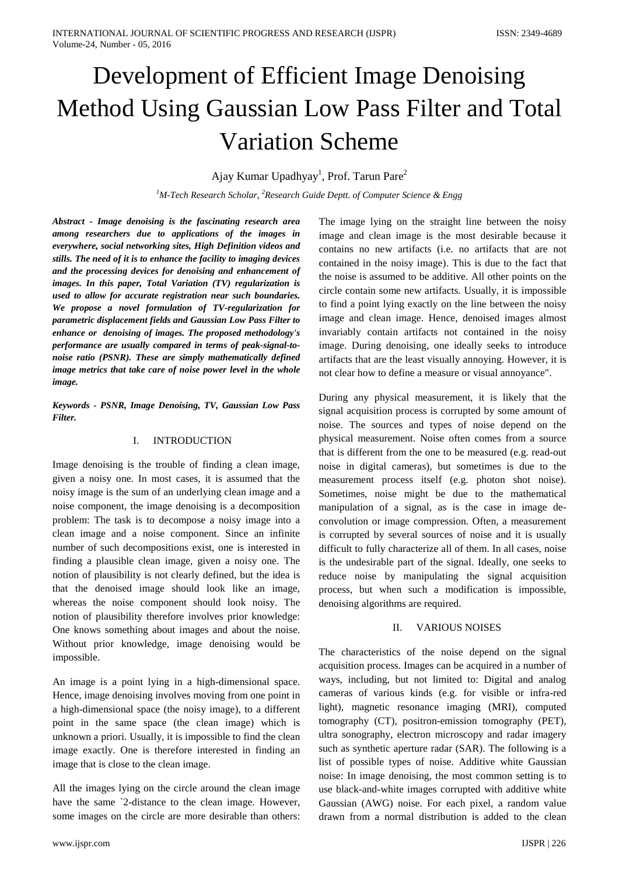# Development of Efficient Image Denoising Method Using Gaussian Low Pass Filter and Total Variation Scheme

# Ajay Kumar Upadhyay<sup>1</sup>, Prof. Tarun Pare<sup>2</sup>

*1 M-Tech Research Scholar, <sup>2</sup> Research Guide Deptt. of Computer Science & Engg*

*Abstract - Image denoising is the fascinating research area among researchers due to applications of the images in everywhere, social networking sites, High Definition videos and stills. The need of it is to enhance the facility to imaging devices and the processing devices for denoising and enhancement of images. In this paper, Total Variation (TV) regularization is used to allow for accurate registration near such boundaries. We propose a novel formulation of TV-regularization for parametric displacement fields and Gaussian Low Pass Filter to enhance or denoising of images. The proposed methodology's performance are usually compared in terms of peak-signal-tonoise ratio (PSNR). These are simply mathematically defined image metrics that take care of noise power level in the whole image.* 

*Keywords - PSNR, Image Denoising, TV, Gaussian Low Pass Filter.*

# I. INTRODUCTION

Image denoising is the trouble of finding a clean image, given a noisy one. In most cases, it is assumed that the noisy image is the sum of an underlying clean image and a noise component, the image denoising is a decomposition problem: The task is to decompose a noisy image into a clean image and a noise component. Since an infinite number of such decompositions exist, one is interested in finding a plausible clean image, given a noisy one. The notion of plausibility is not clearly defined, but the idea is that the denoised image should look like an image, whereas the noise component should look noisy. The notion of plausibility therefore involves prior knowledge: One knows something about images and about the noise. Without prior knowledge, image denoising would be impossible.

An image is a point lying in a high-dimensional space. Hence, image denoising involves moving from one point in a high-dimensional space (the noisy image), to a different point in the same space (the clean image) which is unknown a priori. Usually, it is impossible to find the clean image exactly. One is therefore interested in finding an image that is close to the clean image.

All the images lying on the circle around the clean image have the same `2-distance to the clean image. However, some images on the circle are more desirable than others:

The image lying on the straight line between the noisy image and clean image is the most desirable because it contains no new artifacts (i.e. no artifacts that are not contained in the noisy image). This is due to the fact that the noise is assumed to be additive. All other points on the circle contain some new artifacts. Usually, it is impossible to find a point lying exactly on the line between the noisy image and clean image. Hence, denoised images almost invariably contain artifacts not contained in the noisy image. During denoising, one ideally seeks to introduce artifacts that are the least visually annoying. However, it is not clear how to define a measure or visual annoyance".

During any physical measurement, it is likely that the signal acquisition process is corrupted by some amount of noise. The sources and types of noise depend on the physical measurement. Noise often comes from a source that is different from the one to be measured (e.g. read-out noise in digital cameras), but sometimes is due to the measurement process itself (e.g. photon shot noise). Sometimes, noise might be due to the mathematical manipulation of a signal, as is the case in image deconvolution or image compression. Often, a measurement is corrupted by several sources of noise and it is usually difficult to fully characterize all of them. In all cases, noise is the undesirable part of the signal. Ideally, one seeks to reduce noise by manipulating the signal acquisition process, but when such a modification is impossible, denoising algorithms are required.

#### II. VARIOUS NOISES

The characteristics of the noise depend on the signal acquisition process. Images can be acquired in a number of ways, including, but not limited to: Digital and analog cameras of various kinds (e.g. for visible or infra-red light), magnetic resonance imaging (MRI), computed tomography (CT), positron-emission tomography (PET), ultra sonography, electron microscopy and radar imagery such as synthetic aperture radar (SAR). The following is a list of possible types of noise. Additive white Gaussian noise: In image denoising, the most common setting is to use black-and-white images corrupted with additive white Gaussian (AWG) noise. For each pixel, a random value drawn from a normal distribution is added to the clean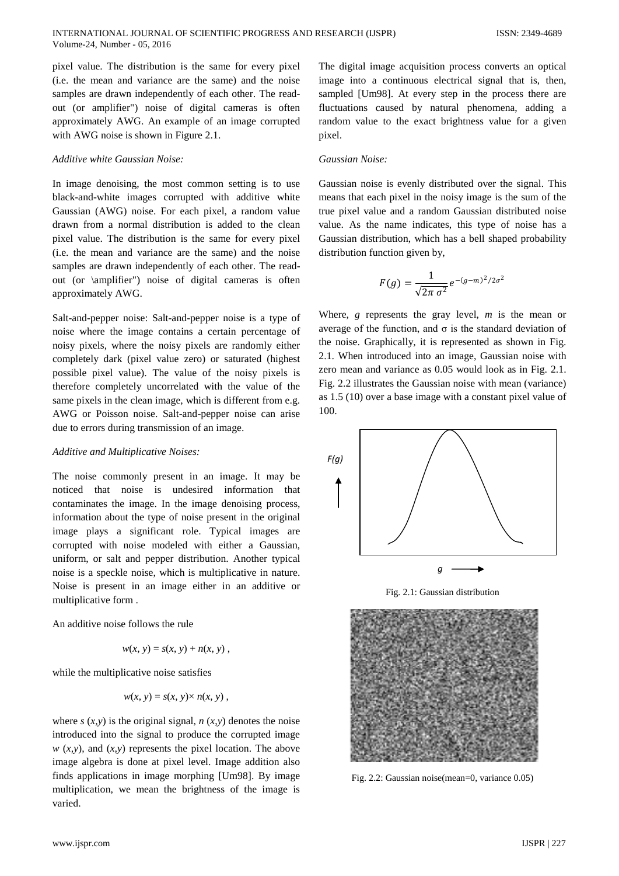pixel value. The distribution is the same for every pixel (i.e. the mean and variance are the same) and the noise samples are drawn independently of each other. The readout (or amplifier") noise of digital cameras is often approximately AWG. An example of an image corrupted with AWG noise is shown in Figure 2.1.

#### *Additive white Gaussian Noise:*

In image denoising, the most common setting is to use black-and-white images corrupted with additive white Gaussian (AWG) noise. For each pixel, a random value drawn from a normal distribution is added to the clean pixel value. The distribution is the same for every pixel (i.e. the mean and variance are the same) and the noise samples are drawn independently of each other. The readout (or \amplifier") noise of digital cameras is often approximately AWG.

Salt-and-pepper noise: Salt-and-pepper noise is a type of noise where the image contains a certain percentage of noisy pixels, where the noisy pixels are randomly either completely dark (pixel value zero) or saturated (highest possible pixel value). The value of the noisy pixels is therefore completely uncorrelated with the value of the same pixels in the clean image, which is different from e.g. AWG or Poisson noise. Salt-and-pepper noise can arise due to errors during transmission of an image.

#### *Additive and Multiplicative Noises:*

The noise commonly present in an image. It may be noticed that noise is undesired information that contaminates the image. In the image denoising process, information about the type of noise present in the original image plays a significant role. Typical images are corrupted with noise modeled with either a Gaussian, uniform, or salt and pepper distribution. Another typical noise is a speckle noise, which is multiplicative in nature. Noise is present in an image either in an additive or multiplicative form .

An additive noise follows the rule

$$
w(x, y) = s(x, y) + n(x, y),
$$

while the multiplicative noise satisfies

$$
w(x, y) = s(x, y) \times n(x, y)
$$

where  $s(x, y)$  is the original signal,  $n(x, y)$  denotes the noise introduced into the signal to produce the corrupted image  $w(x, y)$ , and  $(x, y)$  represents the pixel location. The above image algebra is done at pixel level. Image addition also finds applications in image morphing [Um98]. By image multiplication, we mean the brightness of the image is varied.

The digital image acquisition process converts an optical image into a continuous electrical signal that is, then, sampled [Um98]. At every step in the process there are fluctuations caused by natural phenomena, adding a random value to the exact brightness value for a given pixel.

#### *Gaussian Noise:*

Gaussian noise is evenly distributed over the signal. This means that each pixel in the noisy image is the sum of the true pixel value and a random Gaussian distributed noise value. As the name indicates, this type of noise has a Gaussian distribution, which has a bell shaped probability distribution function given by,

$$
F(g) = \frac{1}{\sqrt{2\pi \sigma^2}} e^{-(g-m)^2/2\sigma^2}
$$

Where, *g* represents the gray level, *m* is the mean or average of the function, and  $\sigma$  is the standard deviation of the noise. Graphically, it is represented as shown in Fig. 2.1. When introduced into an image, Gaussian noise with zero mean and variance as 0.05 would look as in Fig. 2.1. Fig. 2.2 illustrates the Gaussian noise with mean (variance) as 1.5 (10) over a base image with a constant pixel value of 100.





Fig. 2.2: Gaussian noise(mean=0, variance 0.05)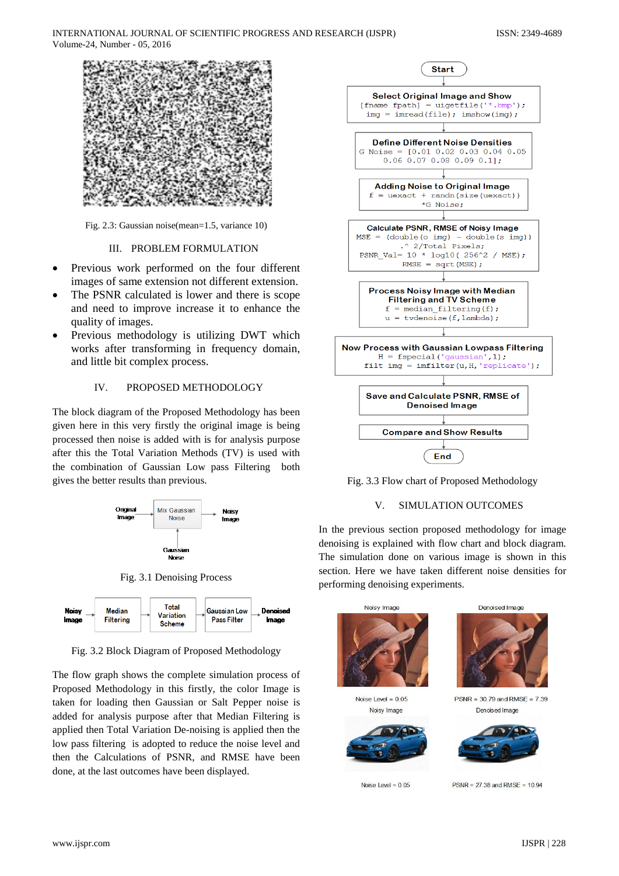

Fig. 2.3: Gaussian noise(mean=1.5, variance 10)

### III. PROBLEM FORMULATION

- Previous work performed on the four different images of same extension not different extension.
- The PSNR calculated is lower and there is scope and need to improve increase it to enhance the quality of images.
- Previous methodology is utilizing DWT which works after transforming in frequency domain, and little bit complex process.

# IV. PROPOSED METHODOLOGY

The block diagram of the Proposed Methodology has been given here in this very firstly the original image is being processed then noise is added with is for analysis purpose after this the Total Variation Methods (TV) is used with the combination of Gaussian Low pass Filtering both gives the better results than previous.



Fig. 3.1 Denoising Process



Fig. 3.2 Block Diagram of Proposed Methodology

The flow graph shows the complete simulation process of Proposed Methodology in this firstly, the color Image is taken for loading then Gaussian or Salt Pepper noise is added for analysis purpose after that Median Filtering is applied then Total Variation De-noising is applied then the low pass filtering is adopted to reduce the noise level and then the Calculations of PSNR, and RMSE have been done, at the last outcomes have been displayed.



Fig. 3.3 Flow chart of Proposed Methodology

# V. SIMULATION OUTCOMES

In the previous section proposed methodology for image denoising is explained with flow chart and block diagram. The simulation done on various image is shown in this section. Here we have taken different noise densities for performing denoising experiments.

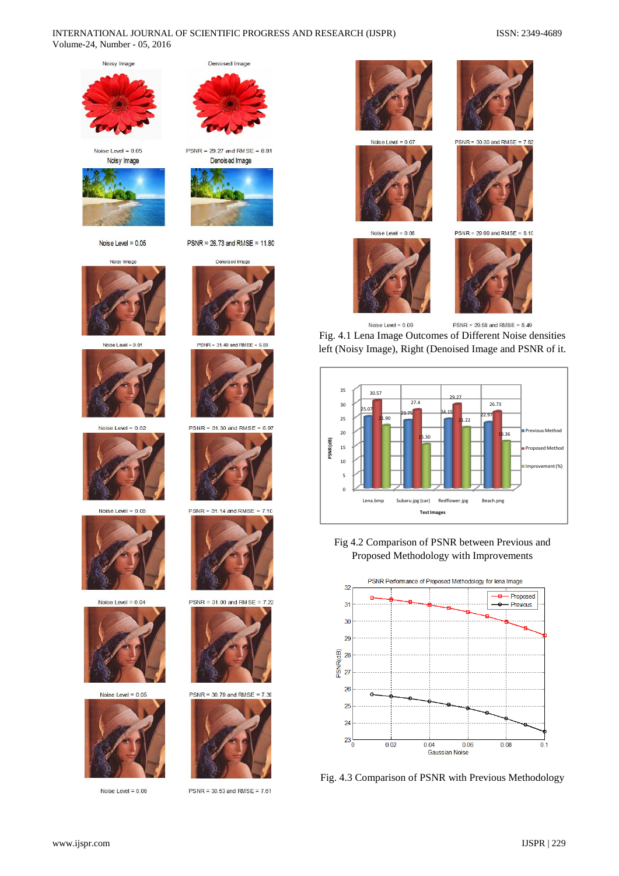#### INTERNATIONAL JOURNAL OF SCIENTIFIC PROGRESS AND RESEARCH (IJSPR) ISSN: 2349-4689 Volume-24, Number - 05, 2016

Noisy Image

Noise Level =  $0.05$ Noisy Image



Noise Level =  $0.05$ 



Noise Level = 0.01



Noise Level =  $0.02$ 





Noise Level =  $0.04$ 



Noise Level =  $0.05$ 



Noise Level =  $0.06$ 



 $PSNR = 29.27$  and  $RMSE = 8.81$ Denoised Image



PSNR = 26.73 and RMSE = 11.80

Denoised Image



 $PSNR = 31.40$  and  $RMSE = 6$ 



 $PSNR = 31.30$  and RMSE = 6.97



 $PSNR = 31.14$  and  $RMSE = 7.10$ 



 $PSNR = 31.00$  and  $RMSE =$  $722$ 



 $PSNR = 30.79$  and  $RMSE = 7.39$ 



 $PSNR = 30.53$  and  $RMSE = 7.61$ 









 $PSNR = 30,30$  and RMSE

 $PSNR = 29.58$  and  $RMSE = 8.49$ 

Noise Level =  $0.09$ Fig. 4.1 Lena Image Outcomes of Different Noise densities left (Noisy Image), Right (Denoised Image and PSNR of it.



Fig 4.2 Comparison of PSNR between Previous and Proposed Methodology with Improvements



Fig. 4.3 Comparison of PSNR with Previous Methodology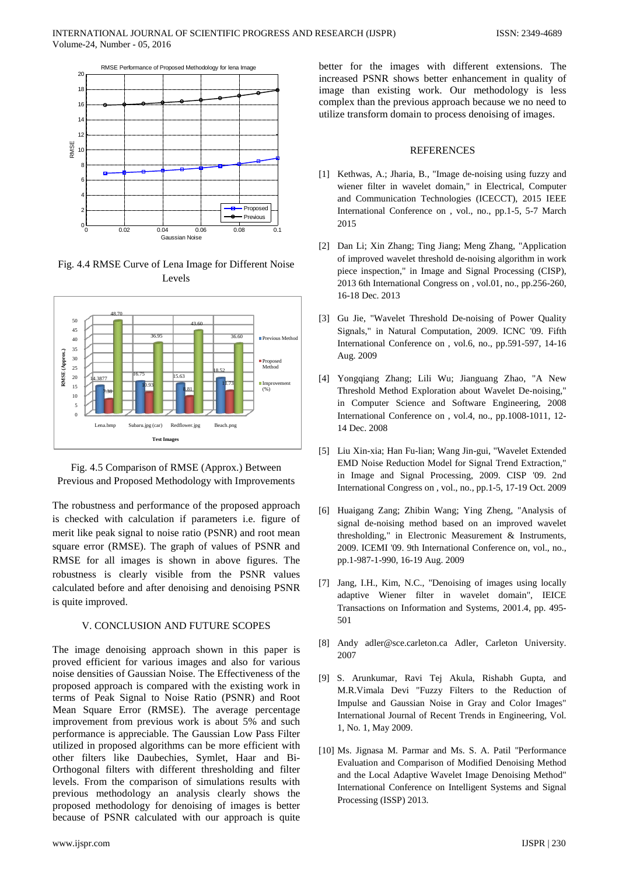

Fig. 4.4 RMSE Curve of Lena Image for Different Noise Levels



Fig. 4.5 Comparison of RMSE (Approx.) Between Previous and Proposed Methodology with Improvements

The robustness and performance of the proposed approach is checked with calculation if parameters i.e. figure of merit like peak signal to noise ratio (PSNR) and root mean square error (RMSE). The graph of values of PSNR and RMSE for all images is shown in above figures. The robustness is clearly visible from the PSNR values calculated before and after denoising and denoising PSNR is quite improved.

# V. CONCLUSION AND FUTURE SCOPES

The image denoising approach shown in this paper is proved efficient for various images and also for various noise densities of Gaussian Noise. The Effectiveness of the proposed approach is compared with the existing work in terms of Peak Signal to Noise Ratio (PSNR) and Root Mean Square Error (RMSE). The average percentage improvement from previous work is about 5% and such performance is appreciable. The Gaussian Low Pass Filter utilized in proposed algorithms can be more efficient with other filters like Daubechies, Symlet, Haar and Bi-Orthogonal filters with different thresholding and filter levels. From the comparison of simulations results with previous methodology an analysis clearly shows the proposed methodology for denoising of images is better because of PSNR calculated with our approach is quite

better for the images with different extensions. The increased PSNR shows better enhancement in quality of image than existing work. Our methodology is less complex than the previous approach because we no need to utilize transform domain to process denoising of images.

#### **REFERENCES**

- [1] Kethwas, A.; Jharia, B., "Image de-noising using fuzzy and wiener filter in wavelet domain," in Electrical, Computer and Communication Technologies (ICECCT), 2015 IEEE International Conference on , vol., no., pp.1-5, 5-7 March 2015
- [2] Dan Li; Xin Zhang; Ting Jiang; Meng Zhang, "Application of improved wavelet threshold de-noising algorithm in work piece inspection," in Image and Signal Processing (CISP), 2013 6th International Congress on , vol.01, no., pp.256-260, 16-18 Dec. 2013
- [3] Gu Jie, "Wavelet Threshold De-noising of Power Quality Signals," in Natural Computation, 2009. ICNC '09. Fifth International Conference on , vol.6, no., pp.591-597, 14-16 Aug. 2009
- [4] Yongqiang Zhang; Lili Wu; Jianguang Zhao, "A New Threshold Method Exploration about Wavelet De-noising," in Computer Science and Software Engineering, 2008 International Conference on , vol.4, no., pp.1008-1011, 12- 14 Dec. 2008
- [5] Liu Xin-xia; Han Fu-lian; Wang Jin-gui, "Wavelet Extended EMD Noise Reduction Model for Signal Trend Extraction," in Image and Signal Processing, 2009. CISP '09. 2nd International Congress on , vol., no., pp.1-5, 17-19 Oct. 2009
- [6] Huaigang Zang; Zhibin Wang; Ying Zheng, "Analysis of signal de-noising method based on an improved wavelet thresholding," in Electronic Measurement & Instruments, 2009. ICEMI '09. 9th International Conference on, vol., no., pp.1-987-1-990, 16-19 Aug. 2009
- [7] Jang, I.H., Kim, N.C., "Denoising of images using locally adaptive Wiener filter in wavelet domain", IEICE Transactions on Information and Systems, 2001.4, pp. 495- 501
- [8] Andy adler@sce.carleton.ca Adler, Carleton University. 2007
- [9] S. Arunkumar, Ravi Tej Akula, Rishabh Gupta, and M.R.Vimala Devi "Fuzzy Filters to the Reduction of Impulse and Gaussian Noise in Gray and Color Images" International Journal of Recent Trends in Engineering, Vol. 1, No. 1, May 2009.
- [10] Ms. Jignasa M. Parmar and Ms. S. A. Patil "Performance Evaluation and Comparison of Modified Denoising Method and the Local Adaptive Wavelet Image Denoising Method" International Conference on Intelligent Systems and Signal Processing (ISSP) 2013.